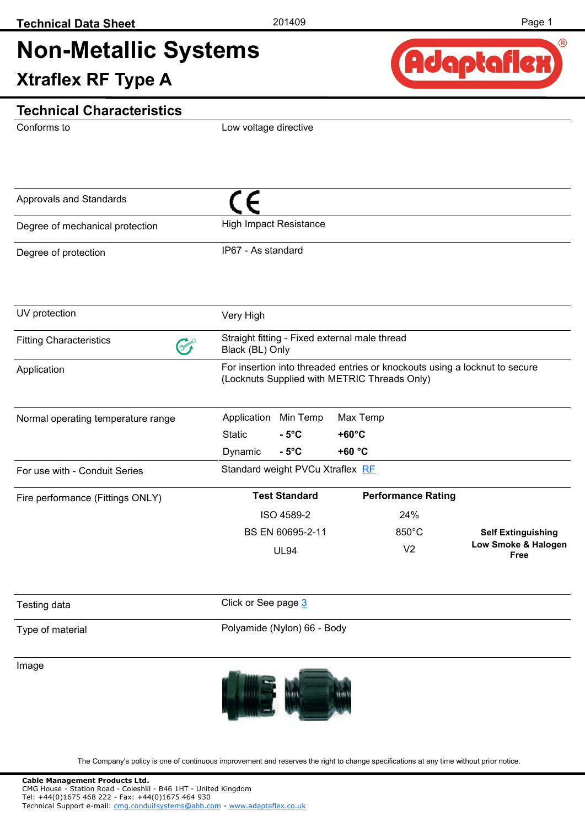# **Non-Metallic Systems Xtraflex RF Type A**



### **Technical Characteristics**

Conforms to

Low voltage directive

| Approvals and Standards            |                                                                                                                            |                                                                  |                 |                           |                                    |  |
|------------------------------------|----------------------------------------------------------------------------------------------------------------------------|------------------------------------------------------------------|-----------------|---------------------------|------------------------------------|--|
| Degree of mechanical protection    | <b>High Impact Resistance</b>                                                                                              |                                                                  |                 |                           |                                    |  |
| Degree of protection               | IP67 - As standard                                                                                                         |                                                                  |                 |                           |                                    |  |
| UV protection                      | Very High                                                                                                                  |                                                                  |                 |                           |                                    |  |
| <b>Fitting Characteristics</b>     |                                                                                                                            | Straight fitting - Fixed external male thread<br>Black (BL) Only |                 |                           |                                    |  |
| Application                        | For insertion into threaded entries or knockouts using a locknut to secure<br>(Locknuts Supplied with METRIC Threads Only) |                                                                  |                 |                           |                                    |  |
| Normal operating temperature range | Application                                                                                                                | Min Temp                                                         | Max Temp        |                           |                                    |  |
|                                    | <b>Static</b>                                                                                                              | $-5^{\circ}$ C                                                   | $+60^{\circ}$ C |                           |                                    |  |
|                                    | Dynamic                                                                                                                    | $-5^{\circ}$ C                                                   | +60 °C          |                           |                                    |  |
| For use with - Conduit Series      |                                                                                                                            | Standard weight PVCu Xtraflex RF                                 |                 |                           |                                    |  |
| Fire performance (Fittings ONLY)   | <b>Test Standard</b>                                                                                                       |                                                                  |                 | <b>Performance Rating</b> |                                    |  |
|                                    |                                                                                                                            | ISO 4589-2                                                       |                 | 24%                       |                                    |  |
|                                    |                                                                                                                            | BS EN 60695-2-11                                                 |                 | $850^{\circ}$ C           | <b>Self Extinguishing</b>          |  |
|                                    |                                                                                                                            | <b>UL94</b>                                                      |                 | V <sub>2</sub>            | Low Smoke & Halogen<br><b>Free</b> |  |
| Testing data                       | Click or See page 3                                                                                                        |                                                                  |                 |                           |                                    |  |
| Type of material                   | Polyamide (Nylon) 66 - Body                                                                                                |                                                                  |                 |                           |                                    |  |
| Image                              |                                                                                                                            |                                                                  |                 |                           |                                    |  |

The Company's policy is one of continuous improvement and reserves the right to change specifications at any time without prior notice.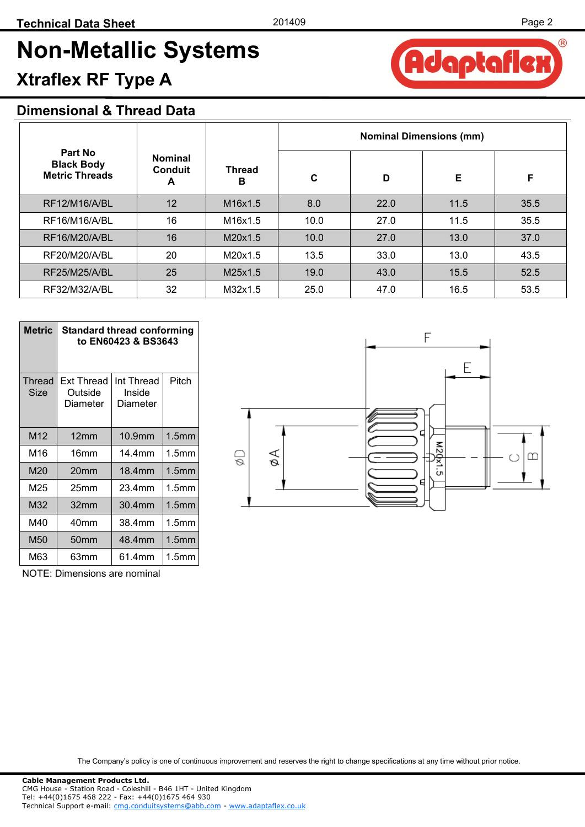# **Non-Metallic Systems Xtraflex RF Type A**

### **Dimensional & Thread Data**

|                                                       |                                       | <b>Thread</b><br>в               | <b>Nominal Dimensions (mm)</b> |      |      |      |  |
|-------------------------------------------------------|---------------------------------------|----------------------------------|--------------------------------|------|------|------|--|
| Part No<br><b>Black Body</b><br><b>Metric Threads</b> | <b>Nominal</b><br><b>Conduit</b><br>A |                                  | $\mathbf c$                    | D    | Е    | F    |  |
| <b>RF12/M16/A/BL</b>                                  | 12                                    | M <sub>16</sub> x <sub>1.5</sub> | 8.0                            | 22.0 | 11.5 | 35.5 |  |
| RF16/M16/A/BL                                         | 16                                    | M16x1.5                          | 10.0                           | 27.0 | 11.5 | 35.5 |  |
| RF16/M20/A/BL                                         | 16                                    | M20x1.5                          | 10.0                           | 27.0 | 13.0 | 37.0 |  |
| RF20/M20/A/BL                                         | 20                                    | M20x1.5                          | 13.5                           | 33.0 | 13.0 | 43.5 |  |
| <b>RF25/M25/A/BL</b>                                  | 25                                    | M25x1.5                          | 19.0                           | 43.0 | 15.5 | 52.5 |  |
| RF32/M32/A/BL                                         | 32                                    | M32x1.5                          | 25.0                           | 47.0 | 16.5 | 53.5 |  |

| <b>Metric</b>   | <b>Standard thread conforming</b><br>to EN60423 & BS3643 |                                  |                   |  |  |  |
|-----------------|----------------------------------------------------------|----------------------------------|-------------------|--|--|--|
| Thread<br>Size  | Ext Thread<br>Outside<br>Diameter                        | Int Thread<br>Inside<br>Diameter | Pitch             |  |  |  |
| M <sub>12</sub> | 12 <sub>mm</sub>                                         | 10.9mm                           | 1.5 <sub>mm</sub> |  |  |  |
| M16             | 16 <sub>mm</sub>                                         | 14.4mm                           | 1.5mm             |  |  |  |
| M20             | 20 <sub>mm</sub>                                         | 18.4mm                           | 1.5mm             |  |  |  |
| M25             | 25mm                                                     | 23.4mm                           | 1.5mm             |  |  |  |
| M32             | 32mm                                                     | 30.4mm                           | 1.5 <sub>mm</sub> |  |  |  |
| M40             | 40mm                                                     | 38.4mm                           | 1.5mm             |  |  |  |
| M50             | 50mm                                                     | 48.4mm                           | 1.5mm             |  |  |  |
| M63             | 63mm                                                     | 61.4mm                           | 1.5mm             |  |  |  |

F Ε **M2Qx**  $\odot$ øΑ  $\infty$ ان

NOTE: Dimensions are nominal

The Company's policy is one of continuous improvement and reserves the right to change specifications at any time without prior notice.